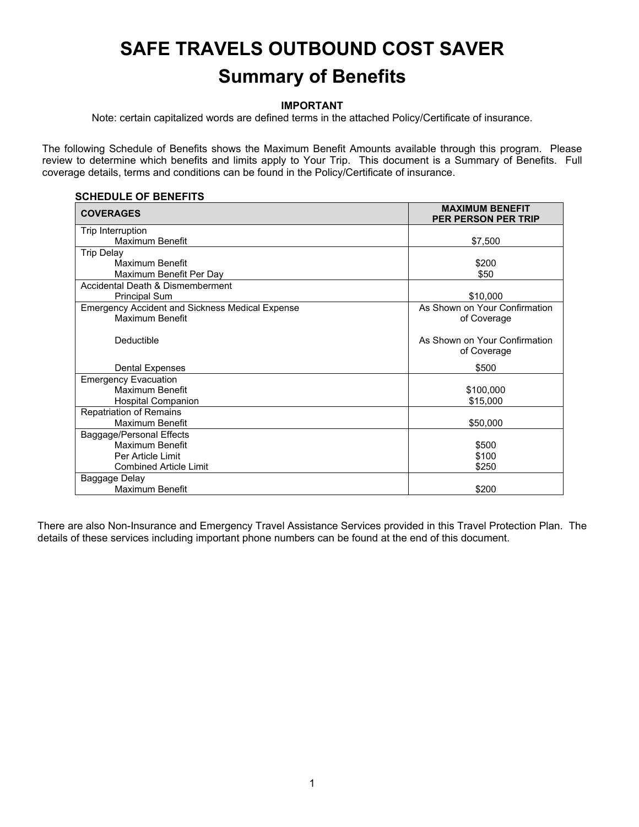# **SAFE TRAVELS OUTBOUND COST SAVER Summary of Benefits**

### **IMPORTANT**

Note: certain capitalized words are defined terms in the attached Policy/Certificate of insurance.

The following Schedule of Benefits shows the Maximum Benefit Amounts available through this program. Please review to determine which benefits and limits apply to Your Trip. This document is a Summary of Benefits. Full coverage details, terms and conditions can be found in the Policy/Certificate of insurance.

#### **SCHEDULE OF BENEFITS**

| <b>COVERAGES</b>                                       | <b>MAXIMUM BENEFIT</b><br><b>PER PERSON PER TRIP</b> |
|--------------------------------------------------------|------------------------------------------------------|
| Trip Interruption                                      |                                                      |
| Maximum Benefit                                        | \$7,500                                              |
| <b>Trip Delay</b>                                      |                                                      |
| Maximum Benefit                                        | \$200                                                |
| Maximum Benefit Per Day                                | \$50                                                 |
| Accidental Death & Dismemberment                       |                                                      |
| <b>Principal Sum</b>                                   | \$10,000                                             |
| <b>Emergency Accident and Sickness Medical Expense</b> | As Shown on Your Confirmation                        |
| Maximum Benefit                                        | of Coverage                                          |
| Deductible                                             | As Shown on Your Confirmation<br>of Coverage         |
| Dental Expenses                                        | \$500                                                |
| <b>Emergency Evacuation</b>                            |                                                      |
| Maximum Benefit                                        | \$100,000                                            |
| <b>Hospital Companion</b>                              | \$15,000                                             |
| <b>Repatriation of Remains</b>                         |                                                      |
| Maximum Benefit                                        | \$50,000                                             |
| Baggage/Personal Effects                               |                                                      |
| Maximum Benefit                                        | \$500                                                |
| Per Article Limit                                      | \$100                                                |
| <b>Combined Article Limit</b>                          | \$250                                                |
| Baggage Delay                                          |                                                      |
| Maximum Benefit                                        | \$200                                                |

There are also Non-Insurance and Emergency Travel Assistance Services provided in this Travel Protection Plan. The details of these services including important phone numbers can be found at the end of this document.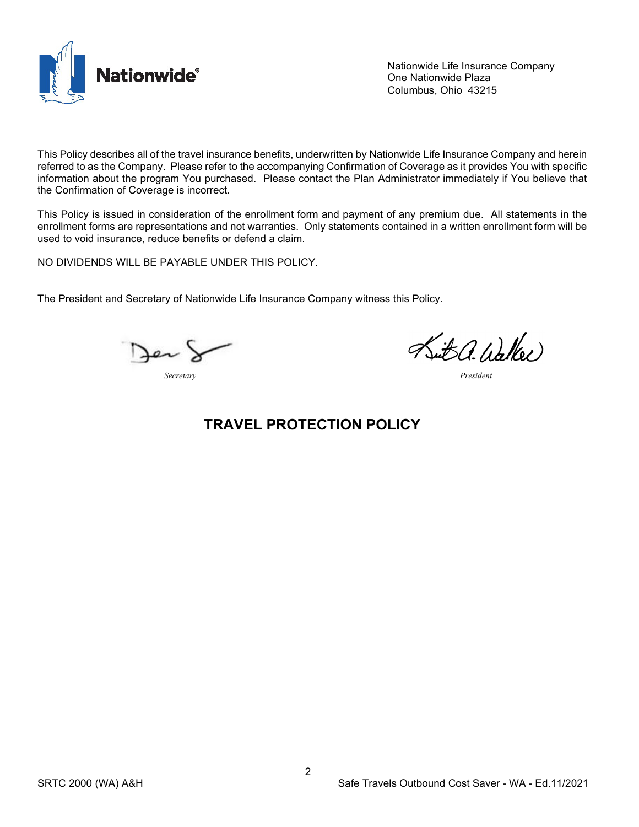

Nationwide Life Insurance Company One Nationwide Plaza Columbus, Ohio 43215

This Policy describes all of the travel insurance benefits, underwritten by Nationwide Life Insurance Company and herein referred to as the Company. Please refer to the accompanying Confirmation of Coverage as it provides You with specific information about the program You purchased. Please contact the Plan Administrator immediately if You believe that the Confirmation of Coverage is incorrect.

This Policy is issued in consideration of the enrollment form and payment of any premium due. All statements in the enrollment forms are representations and not warranties. Only statements contained in a written enrollment form will be used to void insurance, reduce benefits or defend a claim.

NO DIVIDENDS WILL BE PAYABLE UNDER THIS POLICY.

The President and Secretary of Nationwide Life Insurance Company witness this Policy.

*Secretary President*

Sut a. Walker

# **TRAVEL PROTECTION POLICY**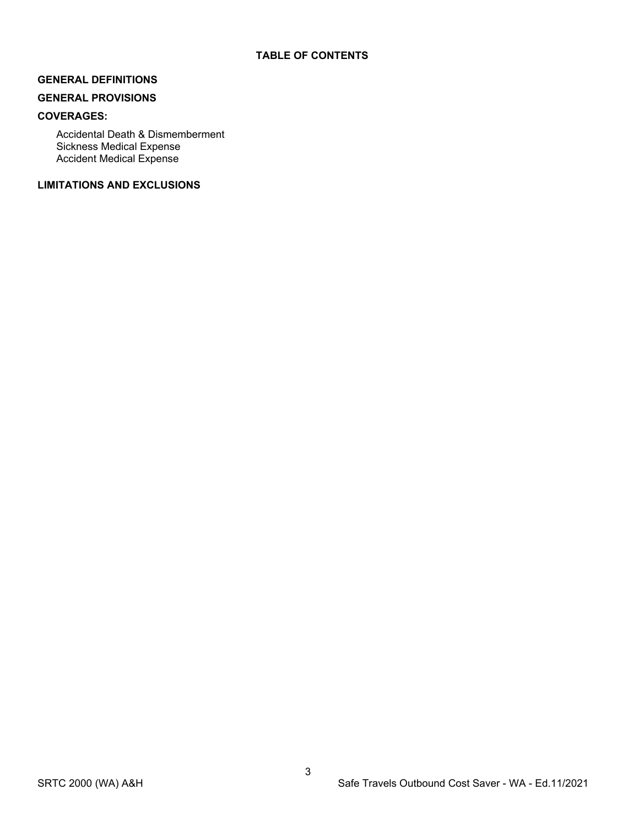# **GENERAL DEFINITIONS**

# **GENERAL PROVISIONS**

# **COVERAGES:**

Accidental Death & Dismemberment Sickness Medical Expense Accident Medical Expense

# **LIMITATIONS AND EXCLUSIONS**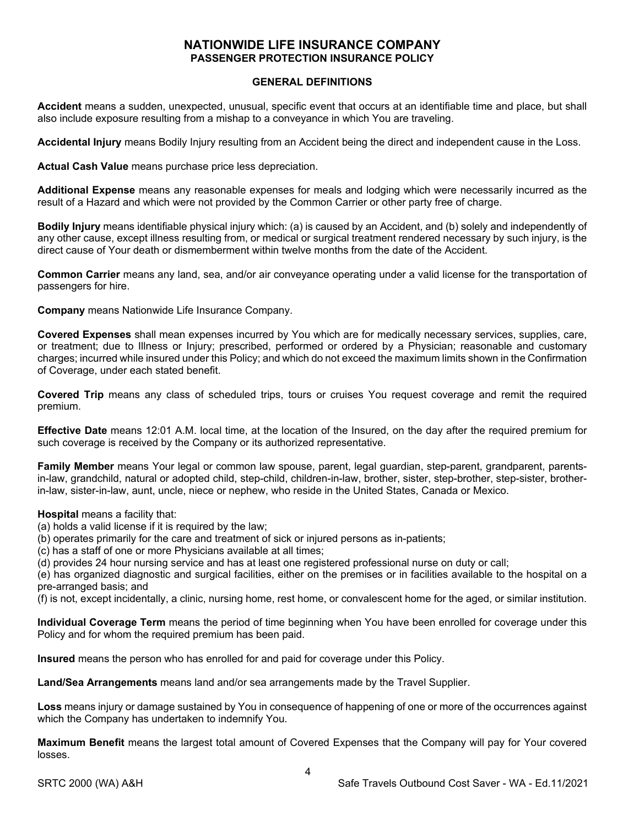# **NATIONWIDE LIFE INSURANCE COMPANY PASSENGER PROTECTION INSURANCE POLICY**

#### **GENERAL DEFINITIONS**

**Accident** means a sudden, unexpected, unusual, specific event that occurs at an identifiable time and place, but shall also include exposure resulting from a mishap to a conveyance in which You are traveling.

**Accidental Injury** means Bodily Injury resulting from an Accident being the direct and independent cause in the Loss.

**Actual Cash Value** means purchase price less depreciation.

**Additional Expense** means any reasonable expenses for meals and lodging which were necessarily incurred as the result of a Hazard and which were not provided by the Common Carrier or other party free of charge.

**Bodily Injury** means identifiable physical injury which: (a) is caused by an Accident, and (b) solely and independently of any other cause, except illness resulting from, or medical or surgical treatment rendered necessary by such injury, is the direct cause of Your death or dismemberment within twelve months from the date of the Accident.

**Common Carrier** means any land, sea, and/or air conveyance operating under a valid license for the transportation of passengers for hire.

**Company** means Nationwide Life Insurance Company.

**Covered Expenses** shall mean expenses incurred by You which are for medically necessary services, supplies, care, or treatment; due to Illness or Injury; prescribed, performed or ordered by a Physician; reasonable and customary charges; incurred while insured under this Policy; and which do not exceed the maximum limits shown in the Confirmation of Coverage, under each stated benefit.

**Covered Trip** means any class of scheduled trips, tours or cruises You request coverage and remit the required premium.

**Effective Date** means 12:01 A.M. local time, at the location of the Insured, on the day after the required premium for such coverage is received by the Company or its authorized representative.

**Family Member** means Your legal or common law spouse, parent, legal guardian, step-parent, grandparent, parentsin-law, grandchild, natural or adopted child, step-child, children-in-law, brother, sister, step-brother, step-sister, brotherin-law, sister-in-law, aunt, uncle, niece or nephew, who reside in the United States, Canada or Mexico.

#### **Hospital** means a facility that:

- (a) holds a valid license if it is required by the law;
- (b) operates primarily for the care and treatment of sick or injured persons as in-patients;
- (c) has a staff of one or more Physicians available at all times;

(d) provides 24 hour nursing service and has at least one registered professional nurse on duty or call;

(e) has organized diagnostic and surgical facilities, either on the premises or in facilities available to the hospital on a pre-arranged basis; and

(f) is not, except incidentally, a clinic, nursing home, rest home, or convalescent home for the aged, or similar institution.

**Individual Coverage Term** means the period of time beginning when You have been enrolled for coverage under this Policy and for whom the required premium has been paid.

**Insured** means the person who has enrolled for and paid for coverage under this Policy.

**Land/Sea Arrangements** means land and/or sea arrangements made by the Travel Supplier.

**Loss** means injury or damage sustained by You in consequence of happening of one or more of the occurrences against which the Company has undertaken to indemnify You.

**Maximum Benefit** means the largest total amount of Covered Expenses that the Company will pay for Your covered losses.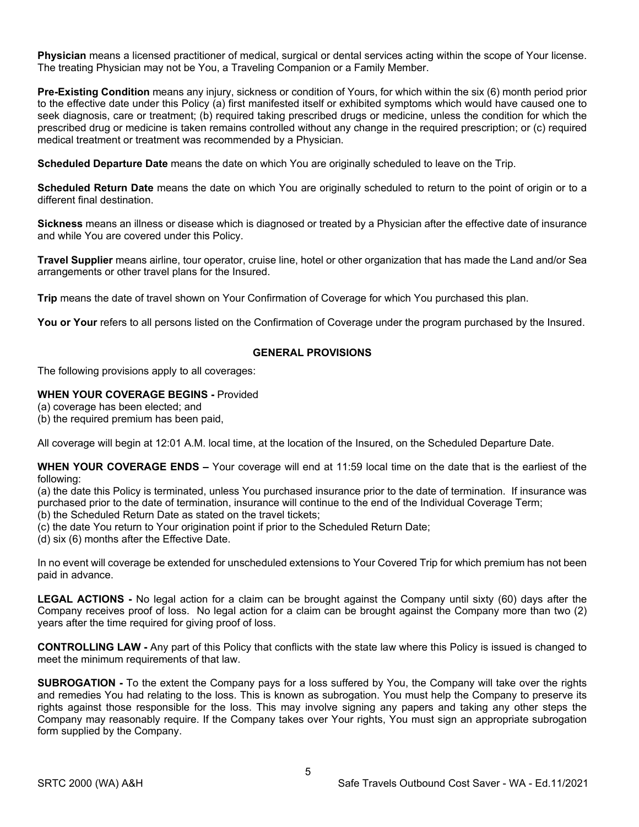**Physician** means a licensed practitioner of medical, surgical or dental services acting within the scope of Your license. The treating Physician may not be You, a Traveling Companion or a Family Member.

**Pre-Existing Condition** means any injury, sickness or condition of Yours, for which within the six (6) month period prior to the effective date under this Policy (a) first manifested itself or exhibited symptoms which would have caused one to seek diagnosis, care or treatment; (b) required taking prescribed drugs or medicine, unless the condition for which the prescribed drug or medicine is taken remains controlled without any change in the required prescription; or (c) required medical treatment or treatment was recommended by a Physician.

**Scheduled Departure Date** means the date on which You are originally scheduled to leave on the Trip.

**Scheduled Return Date** means the date on which You are originally scheduled to return to the point of origin or to a different final destination.

**Sickness** means an illness or disease which is diagnosed or treated by a Physician after the effective date of insurance and while You are covered under this Policy.

**Travel Supplier** means airline, tour operator, cruise line, hotel or other organization that has made the Land and/or Sea arrangements or other travel plans for the Insured.

**Trip** means the date of travel shown on Your Confirmation of Coverage for which You purchased this plan.

You or Your refers to all persons listed on the Confirmation of Coverage under the program purchased by the Insured.

#### **GENERAL PROVISIONS**

The following provisions apply to all coverages:

#### **WHEN YOUR COVERAGE BEGINS -** Provided

- (a) coverage has been elected; and
- (b) the required premium has been paid,

All coverage will begin at 12:01 A.M. local time, at the location of the Insured, on the Scheduled Departure Date.

**WHEN YOUR COVERAGE ENDS –** Your coverage will end at 11:59 local time on the date that is the earliest of the following:

(a) the date this Policy is terminated, unless You purchased insurance prior to the date of termination. If insurance was purchased prior to the date of termination, insurance will continue to the end of the Individual Coverage Term; (b) the Scheduled Return Date as stated on the travel tickets;

(c) the date You return to Your origination point if prior to the Scheduled Return Date;

(d) six (6) months after the Effective Date.

In no event will coverage be extended for unscheduled extensions to Your Covered Trip for which premium has not been paid in advance.

**LEGAL ACTIONS -** No legal action for a claim can be brought against the Company until sixty (60) days after the Company receives proof of loss. No legal action for a claim can be brought against the Company more than two (2) years after the time required for giving proof of loss.

**CONTROLLING LAW -** Any part of this Policy that conflicts with the state law where this Policy is issued is changed to meet the minimum requirements of that law.

**SUBROGATION -** To the extent the Company pays for a loss suffered by You, the Company will take over the rights and remedies You had relating to the loss. This is known as subrogation. You must help the Company to preserve its rights against those responsible for the loss. This may involve signing any papers and taking any other steps the Company may reasonably require. If the Company takes over Your rights, You must sign an appropriate subrogation form supplied by the Company.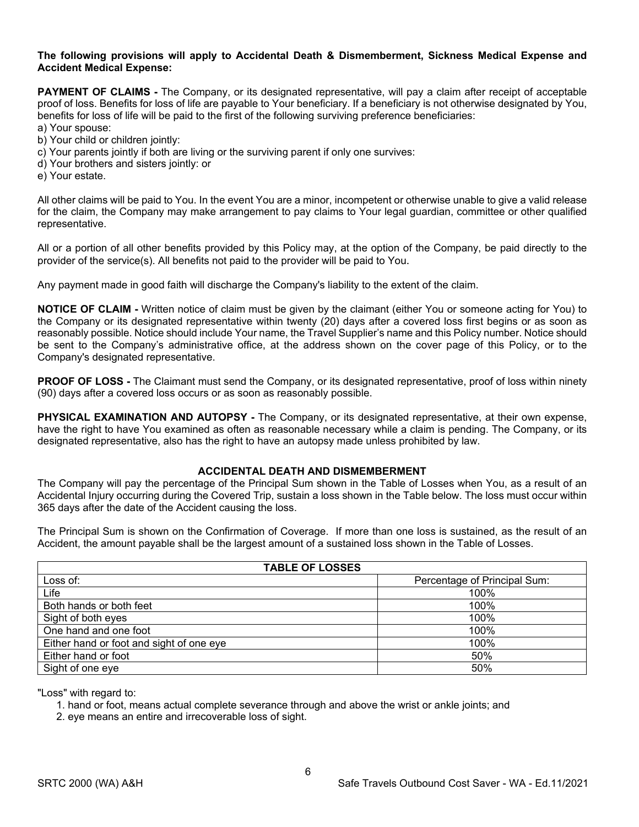#### **The following provisions will apply to Accidental Death & Dismemberment, Sickness Medical Expense and Accident Medical Expense:**

**PAYMENT OF CLAIMS -** The Company, or its designated representative, will pay a claim after receipt of acceptable proof of loss. Benefits for loss of life are payable to Your beneficiary. If a beneficiary is not otherwise designated by You, benefits for loss of life will be paid to the first of the following surviving preference beneficiaries:

- a) Your spouse:
- b) Your child or children jointly:
- c) Your parents jointly if both are living or the surviving parent if only one survives:
- d) Your brothers and sisters jointly: or
- e) Your estate.

All other claims will be paid to You. In the event You are a minor, incompetent or otherwise unable to give a valid release for the claim, the Company may make arrangement to pay claims to Your legal guardian, committee or other qualified representative.

All or a portion of all other benefits provided by this Policy may, at the option of the Company, be paid directly to the provider of the service(s). All benefits not paid to the provider will be paid to You.

Any payment made in good faith will discharge the Company's liability to the extent of the claim.

**NOTICE OF CLAIM -** Written notice of claim must be given by the claimant (either You or someone acting for You) to the Company or its designated representative within twenty (20) days after a covered loss first begins or as soon as reasonably possible. Notice should include Your name, the Travel Supplier's name and this Policy number. Notice should be sent to the Company's administrative office, at the address shown on the cover page of this Policy, or to the Company's designated representative.

**PROOF OF LOSS -** The Claimant must send the Company, or its designated representative, proof of loss within ninety (90) days after a covered loss occurs or as soon as reasonably possible.

**PHYSICAL EXAMINATION AND AUTOPSY -** The Company, or its designated representative, at their own expense, have the right to have You examined as often as reasonable necessary while a claim is pending. The Company, or its designated representative, also has the right to have an autopsy made unless prohibited by law.

#### **ACCIDENTAL DEATH AND DISMEMBERMENT**

The Company will pay the percentage of the Principal Sum shown in the Table of Losses when You, as a result of an Accidental Injury occurring during the Covered Trip, sustain a loss shown in the Table below. The loss must occur within 365 days after the date of the Accident causing the loss.

The Principal Sum is shown on the Confirmation of Coverage. If more than one loss is sustained, as the result of an Accident, the amount payable shall be the largest amount of a sustained loss shown in the Table of Losses.

| <b>TABLE OF LOSSES</b>                   |                              |  |
|------------------------------------------|------------------------------|--|
| Loss of:                                 | Percentage of Principal Sum: |  |
| Life                                     | 100%                         |  |
| Both hands or both feet                  | 100%                         |  |
| Sight of both eyes                       | 100%                         |  |
| One hand and one foot                    | 100%                         |  |
| Either hand or foot and sight of one eye | 100%                         |  |
| Either hand or foot                      | 50%                          |  |
| Sight of one eye                         | 50%                          |  |

"Loss" with regard to:

1. hand or foot, means actual complete severance through and above the wrist or ankle joints; and

2. eye means an entire and irrecoverable loss of sight.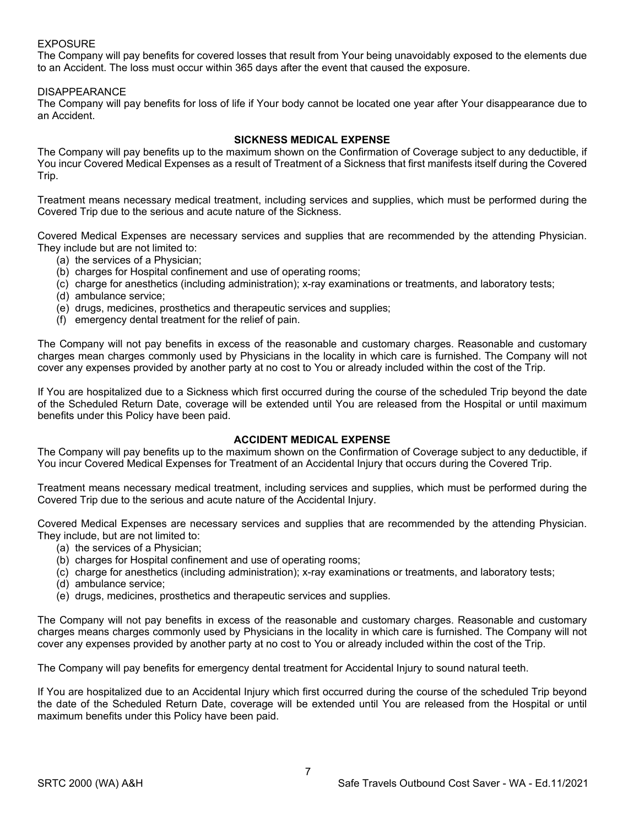#### EXPOSURE

The Company will pay benefits for covered losses that result from Your being unavoidably exposed to the elements due to an Accident. The loss must occur within 365 days after the event that caused the exposure.

#### DISAPPEARANCE

The Company will pay benefits for loss of life if Your body cannot be located one year after Your disappearance due to an Accident.

#### **SICKNESS MEDICAL EXPENSE**

The Company will pay benefits up to the maximum shown on the Confirmation of Coverage subject to any deductible, if You incur Covered Medical Expenses as a result of Treatment of a Sickness that first manifests itself during the Covered Trip.

Treatment means necessary medical treatment, including services and supplies, which must be performed during the Covered Trip due to the serious and acute nature of the Sickness.

Covered Medical Expenses are necessary services and supplies that are recommended by the attending Physician. They include but are not limited to:

- (a) the services of a Physician;
- (b) charges for Hospital confinement and use of operating rooms;
- (c) charge for anesthetics (including administration); x-ray examinations or treatments, and laboratory tests;
- (d) ambulance service;
- (e) drugs, medicines, prosthetics and therapeutic services and supplies;
- (f) emergency dental treatment for the relief of pain.

The Company will not pay benefits in excess of the reasonable and customary charges. Reasonable and customary charges mean charges commonly used by Physicians in the locality in which care is furnished. The Company will not cover any expenses provided by another party at no cost to You or already included within the cost of the Trip.

If You are hospitalized due to a Sickness which first occurred during the course of the scheduled Trip beyond the date of the Scheduled Return Date, coverage will be extended until You are released from the Hospital or until maximum benefits under this Policy have been paid.

#### **ACCIDENT MEDICAL EXPENSE**

The Company will pay benefits up to the maximum shown on the Confirmation of Coverage subject to any deductible, if You incur Covered Medical Expenses for Treatment of an Accidental Injury that occurs during the Covered Trip.

Treatment means necessary medical treatment, including services and supplies, which must be performed during the Covered Trip due to the serious and acute nature of the Accidental Injury.

Covered Medical Expenses are necessary services and supplies that are recommended by the attending Physician. They include, but are not limited to:

- (a) the services of a Physician;
- (b) charges for Hospital confinement and use of operating rooms;
- (c) charge for anesthetics (including administration); x-ray examinations or treatments, and laboratory tests;
- (d) ambulance service;
- (e) drugs, medicines, prosthetics and therapeutic services and supplies.

The Company will not pay benefits in excess of the reasonable and customary charges. Reasonable and customary charges means charges commonly used by Physicians in the locality in which care is furnished. The Company will not cover any expenses provided by another party at no cost to You or already included within the cost of the Trip.

The Company will pay benefits for emergency dental treatment for Accidental Injury to sound natural teeth.

If You are hospitalized due to an Accidental Injury which first occurred during the course of the scheduled Trip beyond the date of the Scheduled Return Date, coverage will be extended until You are released from the Hospital or until maximum benefits under this Policy have been paid.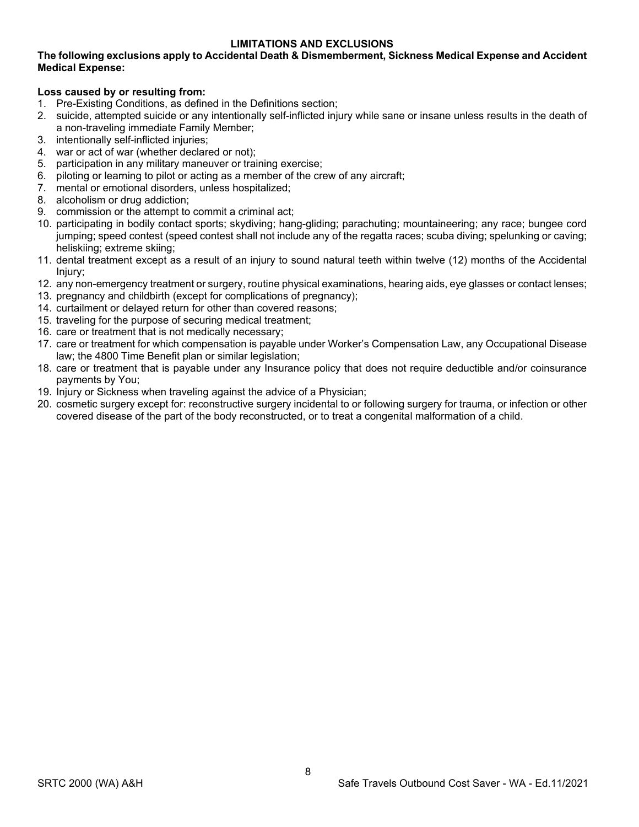# **LIMITATIONS AND EXCLUSIONS**

#### **The following exclusions apply to Accidental Death & Dismemberment, Sickness Medical Expense and Accident Medical Expense:**

#### **Loss caused by or resulting from:**

- 1. Pre-Existing Conditions, as defined in the Definitions section;
- 2. suicide, attempted suicide or any intentionally self-inflicted injury while sane or insane unless results in the death of a non-traveling immediate Family Member;
- 3. intentionally self-inflicted injuries;
- 4. war or act of war (whether declared or not);
- 5. participation in any military maneuver or training exercise;
- 6. piloting or learning to pilot or acting as a member of the crew of any aircraft;
- 7. mental or emotional disorders, unless hospitalized;
- 8. alcoholism or drug addiction;
- 9. commission or the attempt to commit a criminal act;
- 10. participating in bodily contact sports; skydiving; hang-gliding; parachuting; mountaineering; any race; bungee cord jumping; speed contest (speed contest shall not include any of the regatta races; scuba diving; spelunking or caving; heliskiing; extreme skiing;
- 11. dental treatment except as a result of an injury to sound natural teeth within twelve (12) months of the Accidental Injury;
- 12. any non-emergency treatment or surgery, routine physical examinations, hearing aids, eye glasses or contact lenses;
- 13. pregnancy and childbirth (except for complications of pregnancy);
- 14. curtailment or delayed return for other than covered reasons;
- 15. traveling for the purpose of securing medical treatment;
- 16. care or treatment that is not medically necessary;
- 17. care or treatment for which compensation is payable under Worker's Compensation Law, any Occupational Disease law; the 4800 Time Benefit plan or similar legislation;
- 18. care or treatment that is payable under any Insurance policy that does not require deductible and/or coinsurance payments by You;
- 19. Injury or Sickness when traveling against the advice of a Physician;
- 20. cosmetic surgery except for: reconstructive surgery incidental to or following surgery for trauma, or infection or other covered disease of the part of the body reconstructed, or to treat a congenital malformation of a child.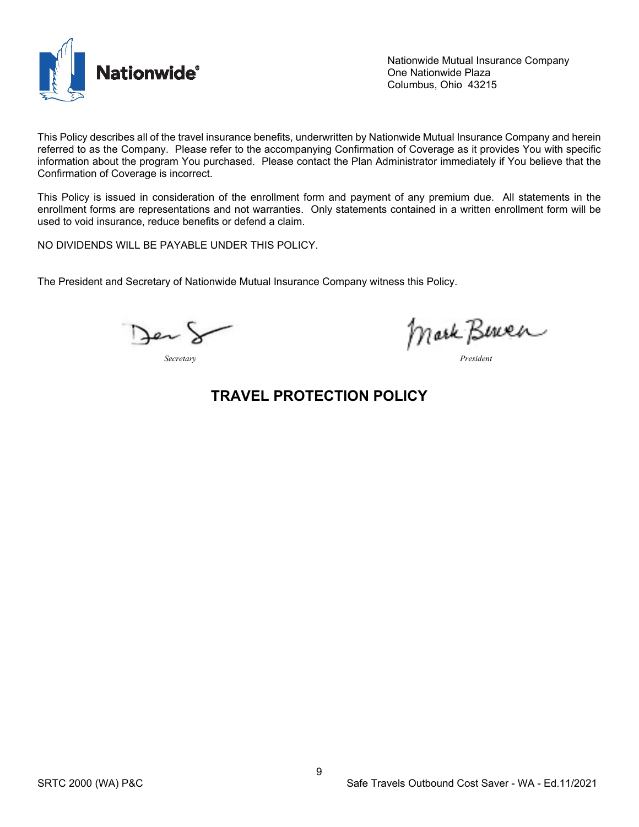

Nationwide Mutual Insurance Company One Nationwide Plaza Columbus, Ohio 43215

This Policy describes all of the travel insurance benefits, underwritten by Nationwide Mutual Insurance Company and herein referred to as the Company. Please refer to the accompanying Confirmation of Coverage as it provides You with specific information about the program You purchased. Please contact the Plan Administrator immediately if You believe that the Confirmation of Coverage is incorrect.

This Policy is issued in consideration of the enrollment form and payment of any premium due. All statements in the enrollment forms are representations and not warranties. Only statements contained in a written enrollment form will be used to void insurance, reduce benefits or defend a claim.

NO DIVIDENDS WILL BE PAYABLE UNDER THIS POLICY.

The President and Secretary of Nationwide Mutual Insurance Company witness this Policy.

Jen!

*Secretary President*

# **TRAVEL PROTECTION POLICY**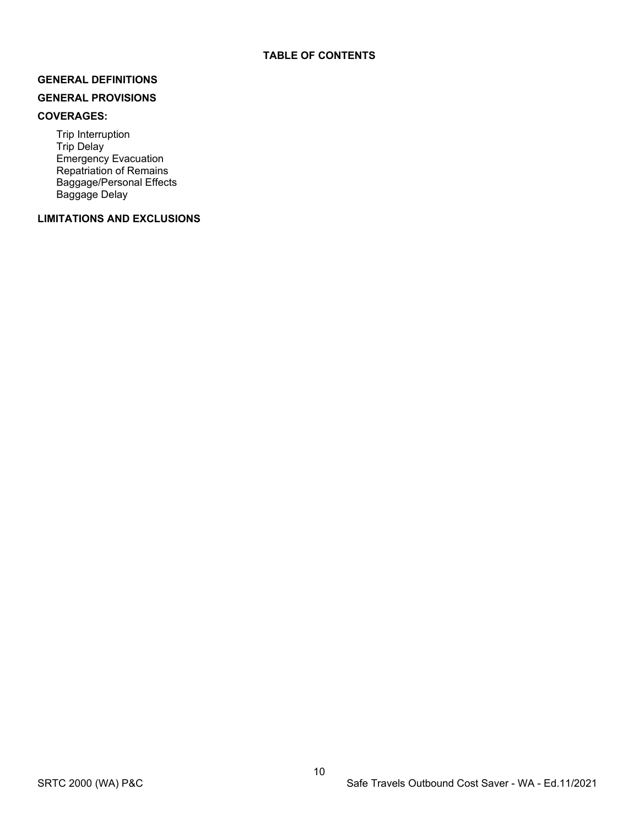#### **GENERAL DEFINITIONS**

# **GENERAL PROVISIONS**

### **COVERAGES:**

Trip Interruption Trip Delay Emergency Evacuation Repatriation of Remains Baggage/Personal Effects Baggage Delay

# **LIMITATIONS AND EXCLUSIONS**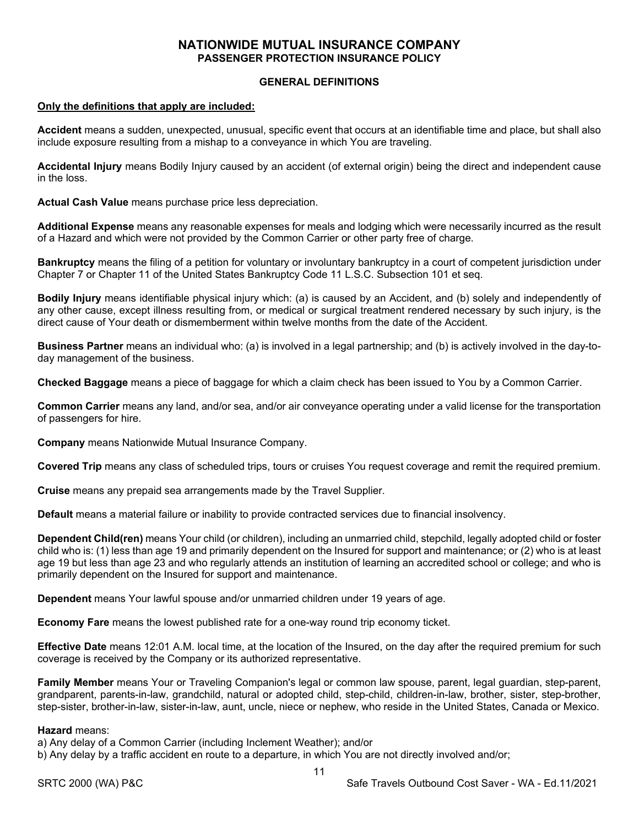# **NATIONWIDE MUTUAL INSURANCE COMPANY PASSENGER PROTECTION INSURANCE POLICY**

#### **GENERAL DEFINITIONS**

#### **Only the definitions that apply are included:**

**Accident** means a sudden, unexpected, unusual, specific event that occurs at an identifiable time and place, but shall also include exposure resulting from a mishap to a conveyance in which You are traveling.

**Accidental Injury** means Bodily Injury caused by an accident (of external origin) being the direct and independent cause in the loss.

**Actual Cash Value** means purchase price less depreciation.

**Additional Expense** means any reasonable expenses for meals and lodging which were necessarily incurred as the result of a Hazard and which were not provided by the Common Carrier or other party free of charge.

**Bankruptcy** means the filing of a petition for voluntary or involuntary bankruptcy in a court of competent jurisdiction under Chapter 7 or Chapter 11 of the United States Bankruptcy Code 11 L.S.C. Subsection 101 et seq.

**Bodily Injury** means identifiable physical injury which: (a) is caused by an Accident, and (b) solely and independently of any other cause, except illness resulting from, or medical or surgical treatment rendered necessary by such injury, is the direct cause of Your death or dismemberment within twelve months from the date of the Accident.

**Business Partner** means an individual who: (a) is involved in a legal partnership; and (b) is actively involved in the day-today management of the business.

**Checked Baggage** means a piece of baggage for which a claim check has been issued to You by a Common Carrier.

**Common Carrier** means any land, and/or sea, and/or air conveyance operating under a valid license for the transportation of passengers for hire.

**Company** means Nationwide Mutual Insurance Company.

**Covered Trip** means any class of scheduled trips, tours or cruises You request coverage and remit the required premium.

**Cruise** means any prepaid sea arrangements made by the Travel Supplier.

**Default** means a material failure or inability to provide contracted services due to financial insolvency.

**Dependent Child(ren)** means Your child (or children), including an unmarried child, stepchild, legally adopted child or foster child who is: (1) less than age 19 and primarily dependent on the Insured for support and maintenance; or (2) who is at least age 19 but less than age 23 and who regularly attends an institution of learning an accredited school or college; and who is primarily dependent on the Insured for support and maintenance.

**Dependent** means Your lawful spouse and/or unmarried children under 19 years of age.

**Economy Fare** means the lowest published rate for a one-way round trip economy ticket.

**Effective Date** means 12:01 A.M. local time, at the location of the Insured, on the day after the required premium for such coverage is received by the Company or its authorized representative.

**Family Member** means Your or Traveling Companion's legal or common law spouse, parent, legal guardian, step-parent, grandparent, parents-in-law, grandchild, natural or adopted child, step-child, children-in-law, brother, sister, step-brother, step-sister, brother-in-law, sister-in-law, aunt, uncle, niece or nephew, who reside in the United States, Canada or Mexico.

#### **Hazard** means:

a) Any delay of a Common Carrier (including Inclement Weather); and/or

b) Any delay by a traffic accident en route to a departure, in which You are not directly involved and/or;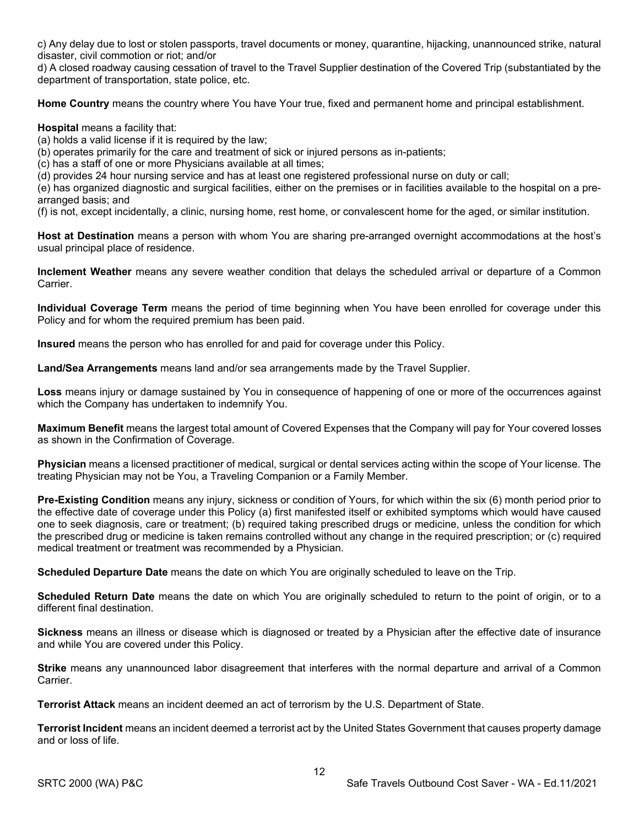c) Any delay due to lost or stolen passports, travel documents or money, quarantine, hijacking, unannounced strike, natural disaster, civil commotion or riot; and/or

d) A closed roadway causing cessation of travel to the Travel Supplier destination of the Covered Trip (substantiated by the department of transportation, state police, etc.

**Home Country** means the country where You have Your true, fixed and permanent home and principal establishment.

#### **Hospital** means a facility that:

(a) holds a valid license if it is required by the law;

(b) operates primarily for the care and treatment of sick or injured persons as in-patients;

(c) has a staff of one or more Physicians available at all times;

(d) provides 24 hour nursing service and has at least one registered professional nurse on duty or call;

(e) has organized diagnostic and surgical facilities, either on the premises or in facilities available to the hospital on a prearranged basis; and

(f) is not, except incidentally, a clinic, nursing home, rest home, or convalescent home for the aged, or similar institution.

**Host at Destination** means a person with whom You are sharing pre-arranged overnight accommodations at the host's usual principal place of residence.

**Inclement Weather** means any severe weather condition that delays the scheduled arrival or departure of a Common **Carrier** 

**Individual Coverage Term** means the period of time beginning when You have been enrolled for coverage under this Policy and for whom the required premium has been paid.

**Insured** means the person who has enrolled for and paid for coverage under this Policy.

**Land/Sea Arrangements** means land and/or sea arrangements made by the Travel Supplier.

**Loss** means injury or damage sustained by You in consequence of happening of one or more of the occurrences against which the Company has undertaken to indemnify You.

**Maximum Benefit** means the largest total amount of Covered Expenses that the Company will pay for Your covered losses as shown in the Confirmation of Coverage.

**Physician** means a licensed practitioner of medical, surgical or dental services acting within the scope of Your license. The treating Physician may not be You, a Traveling Companion or a Family Member.

**Pre-Existing Condition** means any injury, sickness or condition of Yours, for which within the six (6) month period prior to the effective date of coverage under this Policy (a) first manifested itself or exhibited symptoms which would have caused one to seek diagnosis, care or treatment; (b) required taking prescribed drugs or medicine, unless the condition for which the prescribed drug or medicine is taken remains controlled without any change in the required prescription; or (c) required medical treatment or treatment was recommended by a Physician.

**Scheduled Departure Date** means the date on which You are originally scheduled to leave on the Trip.

**Scheduled Return Date** means the date on which You are originally scheduled to return to the point of origin, or to a different final destination.

**Sickness** means an illness or disease which is diagnosed or treated by a Physician after the effective date of insurance and while You are covered under this Policy.

**Strike** means any unannounced labor disagreement that interferes with the normal departure and arrival of a Common **Carrier** 

**Terrorist Attack** means an incident deemed an act of terrorism by the U.S. Department of State.

**Terrorist Incident** means an incident deemed a terrorist act by the United States Government that causes property damage and or loss of life.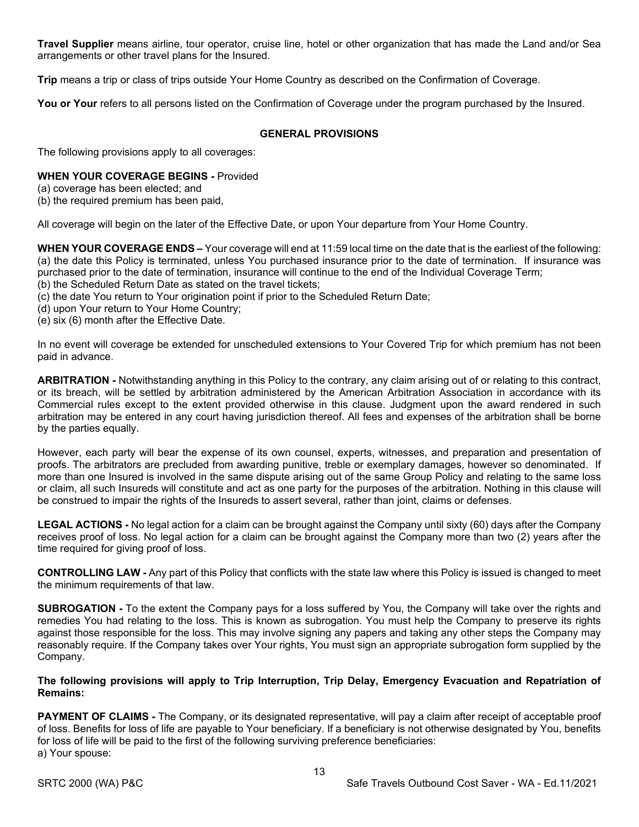**Travel Supplier** means airline, tour operator, cruise line, hotel or other organization that has made the Land and/or Sea arrangements or other travel plans for the Insured.

**Trip** means a trip or class of trips outside Your Home Country as described on the Confirmation of Coverage.

You or Your refers to all persons listed on the Confirmation of Coverage under the program purchased by the Insured.

### **GENERAL PROVISIONS**

The following provisions apply to all coverages:

#### **WHEN YOUR COVERAGE BEGINS -** Provided

(a) coverage has been elected; and

(b) the required premium has been paid,

All coverage will begin on the later of the Effective Date, or upon Your departure from Your Home Country.

**WHEN YOUR COVERAGE ENDS –** Your coverage will end at 11:59 local time on the date that is the earliest of the following: (a) the date this Policy is terminated, unless You purchased insurance prior to the date of termination. If insurance was purchased prior to the date of termination, insurance will continue to the end of the Individual Coverage Term; (b) the Scheduled Return Date as stated on the travel tickets;

- (c) the date You return to Your origination point if prior to the Scheduled Return Date;
- (d) upon Your return to Your Home Country;
- (e) six (6) month after the Effective Date.

In no event will coverage be extended for unscheduled extensions to Your Covered Trip for which premium has not been paid in advance.

**ARBITRATION -** Notwithstanding anything in this Policy to the contrary, any claim arising out of or relating to this contract, or its breach, will be settled by arbitration administered by the American Arbitration Association in accordance with its Commercial rules except to the extent provided otherwise in this clause. Judgment upon the award rendered in such arbitration may be entered in any court having jurisdiction thereof. All fees and expenses of the arbitration shall be borne by the parties equally.

However, each party will bear the expense of its own counsel, experts, witnesses, and preparation and presentation of proofs. The arbitrators are precluded from awarding punitive, treble or exemplary damages, however so denominated. If more than one Insured is involved in the same dispute arising out of the same Group Policy and relating to the same loss or claim, all such Insureds will constitute and act as one party for the purposes of the arbitration. Nothing in this clause will be construed to impair the rights of the Insureds to assert several, rather than joint, claims or defenses.

**LEGAL ACTIONS -** No legal action for a claim can be brought against the Company until sixty (60) days after the Company receives proof of loss. No legal action for a claim can be brought against the Company more than two (2) years after the time required for giving proof of loss.

**CONTROLLING LAW -** Any part of this Policy that conflicts with the state law where this Policy is issued is changed to meet the minimum requirements of that law.

**SUBROGATION -** To the extent the Company pays for a loss suffered by You, the Company will take over the rights and remedies You had relating to the loss. This is known as subrogation. You must help the Company to preserve its rights against those responsible for the loss. This may involve signing any papers and taking any other steps the Company may reasonably require. If the Company takes over Your rights, You must sign an appropriate subrogation form supplied by the Company.

#### **The following provisions will apply to Trip Interruption, Trip Delay, Emergency Evacuation and Repatriation of Remains:**

**PAYMENT OF CLAIMS** - The Company, or its designated representative, will pay a claim after receipt of acceptable proof of loss. Benefits for loss of life are payable to Your beneficiary. If a beneficiary is not otherwise designated by You, benefits for loss of life will be paid to the first of the following surviving preference beneficiaries: a) Your spouse: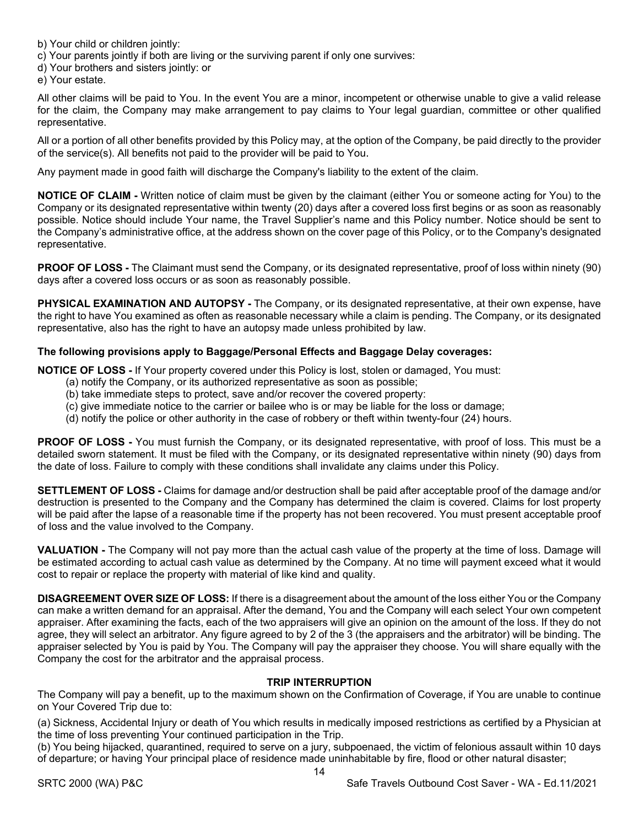b) Your child or children jointly:

c) Your parents jointly if both are living or the surviving parent if only one survives:

d) Your brothers and sisters jointly: or

e) Your estate.

All other claims will be paid to You. In the event You are a minor, incompetent or otherwise unable to give a valid release for the claim, the Company may make arrangement to pay claims to Your legal guardian, committee or other qualified representative.

All or a portion of all other benefits provided by this Policy may, at the option of the Company, be paid directly to the provider of the service(s). All benefits not paid to the provider will be paid to You.

Any payment made in good faith will discharge the Company's liability to the extent of the claim.

**NOTICE OF CLAIM -** Written notice of claim must be given by the claimant (either You or someone acting for You) to the Company or its designated representative within twenty (20) days after a covered loss first begins or as soon as reasonably possible. Notice should include Your name, the Travel Supplier's name and this Policy number. Notice should be sent to the Company's administrative office, at the address shown on the cover page of this Policy, or to the Company's designated representative.

**PROOF OF LOSS -** The Claimant must send the Company, or its designated representative, proof of loss within ninety (90) days after a covered loss occurs or as soon as reasonably possible.

**PHYSICAL EXAMINATION AND AUTOPSY -** The Company, or its designated representative, at their own expense, have the right to have You examined as often as reasonable necessary while a claim is pending. The Company, or its designated representative, also has the right to have an autopsy made unless prohibited by law.

# **The following provisions apply to Baggage/Personal Effects and Baggage Delay coverages:**

**NOTICE OF LOSS -** If Your property covered under this Policy is lost, stolen or damaged, You must:

- (a) notify the Company, or its authorized representative as soon as possible;
- (b) take immediate steps to protect, save and/or recover the covered property:
- (c) give immediate notice to the carrier or bailee who is or may be liable for the loss or damage;
- (d) notify the police or other authority in the case of robbery or theft within twenty-four (24) hours.

**PROOF OF LOSS -** You must furnish the Company, or its designated representative, with proof of loss. This must be a detailed sworn statement. It must be filed with the Company, or its designated representative within ninety (90) days from the date of loss. Failure to comply with these conditions shall invalidate any claims under this Policy.

**SETTLEMENT OF LOSS -** Claims for damage and/or destruction shall be paid after acceptable proof of the damage and/or destruction is presented to the Company and the Company has determined the claim is covered. Claims for lost property will be paid after the lapse of a reasonable time if the property has not been recovered. You must present acceptable proof of loss and the value involved to the Company.

**VALUATION -** The Company will not pay more than the actual cash value of the property at the time of loss. Damage will be estimated according to actual cash value as determined by the Company. At no time will payment exceed what it would cost to repair or replace the property with material of like kind and quality.

**DISAGREEMENT OVER SIZE OF LOSS:** If there is a disagreement about the amount of the loss either You or the Company can make a written demand for an appraisal. After the demand, You and the Company will each select Your own competent appraiser. After examining the facts, each of the two appraisers will give an opinion on the amount of the loss. If they do not agree, they will select an arbitrator. Any figure agreed to by 2 of the 3 (the appraisers and the arbitrator) will be binding. The appraiser selected by You is paid by You. The Company will pay the appraiser they choose. You will share equally with the Company the cost for the arbitrator and the appraisal process.

#### **TRIP INTERRUPTION**

The Company will pay a benefit, up to the maximum shown on the Confirmation of Coverage, if You are unable to continue on Your Covered Trip due to:

(a) Sickness, Accidental Injury or death of You which results in medically imposed restrictions as certified by a Physician at the time of loss preventing Your continued participation in the Trip.

(b) You being hijacked, quarantined, required to serve on a jury, subpoenaed, the victim of felonious assault within 10 days of departure; or having Your principal place of residence made uninhabitable by fire, flood or other natural disaster;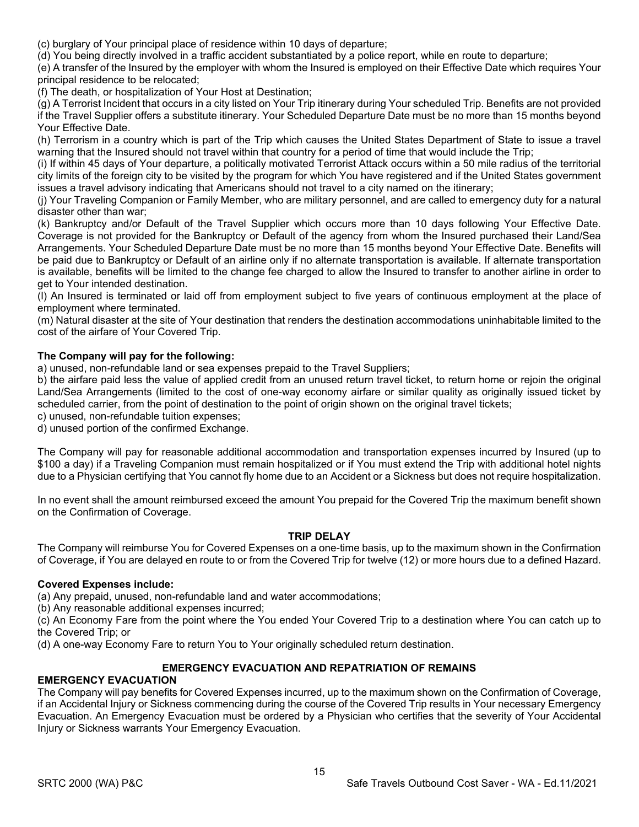(c) burglary of Your principal place of residence within 10 days of departure;

(d) You being directly involved in a traffic accident substantiated by a police report, while en route to departure;

(e) A transfer of the Insured by the employer with whom the Insured is employed on their Effective Date which requires Your principal residence to be relocated;

(f) The death, or hospitalization of Your Host at Destination;

(g) A Terrorist Incident that occurs in a city listed on Your Trip itinerary during Your scheduled Trip. Benefits are not provided if the Travel Supplier offers a substitute itinerary. Your Scheduled Departure Date must be no more than 15 months beyond Your Effective Date.

(h) Terrorism in a country which is part of the Trip which causes the United States Department of State to issue a travel warning that the Insured should not travel within that country for a period of time that would include the Trip;

(i) If within 45 days of Your departure, a politically motivated Terrorist Attack occurs within a 50 mile radius of the territorial city limits of the foreign city to be visited by the program for which You have registered and if the United States government issues a travel advisory indicating that Americans should not travel to a city named on the itinerary;

(j) Your Traveling Companion or Family Member, who are military personnel, and are called to emergency duty for a natural disaster other than war;

(k) Bankruptcy and/or Default of the Travel Supplier which occurs more than 10 days following Your Effective Date. Coverage is not provided for the Bankruptcy or Default of the agency from whom the Insured purchased their Land/Sea Arrangements. Your Scheduled Departure Date must be no more than 15 months beyond Your Effective Date. Benefits will be paid due to Bankruptcy or Default of an airline only if no alternate transportation is available. If alternate transportation is available, benefits will be limited to the change fee charged to allow the Insured to transfer to another airline in order to get to Your intended destination.

(l) An Insured is terminated or laid off from employment subject to five years of continuous employment at the place of employment where terminated.

(m) Natural disaster at the site of Your destination that renders the destination accommodations uninhabitable limited to the cost of the airfare of Your Covered Trip.

# **The Company will pay for the following:**

a) unused, non-refundable land or sea expenses prepaid to the Travel Suppliers;

b) the airfare paid less the value of applied credit from an unused return travel ticket, to return home or rejoin the original Land/Sea Arrangements (limited to the cost of one-way economy airfare or similar quality as originally issued ticket by scheduled carrier, from the point of destination to the point of origin shown on the original travel tickets;

c) unused, non-refundable tuition expenses;

d) unused portion of the confirmed Exchange.

The Company will pay for reasonable additional accommodation and transportation expenses incurred by Insured (up to \$100 a day) if a Traveling Companion must remain hospitalized or if You must extend the Trip with additional hotel nights due to a Physician certifying that You cannot fly home due to an Accident or a Sickness but does not require hospitalization.

In no event shall the amount reimbursed exceed the amount You prepaid for the Covered Trip the maximum benefit shown on the Confirmation of Coverage.

#### **TRIP DELAY**

The Company will reimburse You for Covered Expenses on a one-time basis, up to the maximum shown in the Confirmation of Coverage, if You are delayed en route to or from the Covered Trip for twelve (12) or more hours due to a defined Hazard.

#### **Covered Expenses include:**

(a) Any prepaid, unused, non-refundable land and water accommodations;

(b) Any reasonable additional expenses incurred;

(c) An Economy Fare from the point where the You ended Your Covered Trip to a destination where You can catch up to the Covered Trip; or

(d) A one-way Economy Fare to return You to Your originally scheduled return destination.

# **EMERGENCY EVACUATION AND REPATRIATION OF REMAINS**

#### **EMERGENCY EVACUATION**

The Company will pay benefits for Covered Expenses incurred, up to the maximum shown on the Confirmation of Coverage, if an Accidental Injury or Sickness commencing during the course of the Covered Trip results in Your necessary Emergency Evacuation. An Emergency Evacuation must be ordered by a Physician who certifies that the severity of Your Accidental Injury or Sickness warrants Your Emergency Evacuation.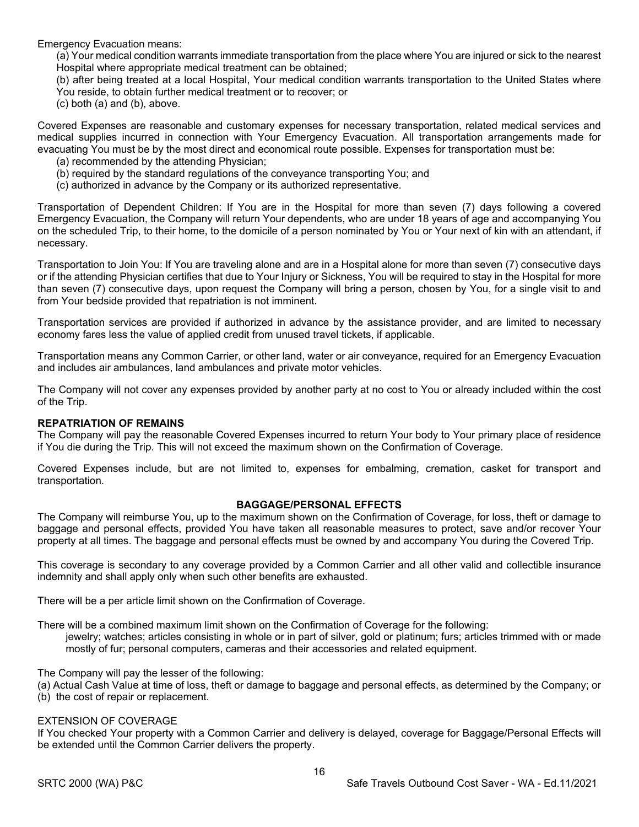Emergency Evacuation means:

(a) Your medical condition warrants immediate transportation from the place where You are injured or sick to the nearest Hospital where appropriate medical treatment can be obtained;

(b) after being treated at a local Hospital, Your medical condition warrants transportation to the United States where You reside, to obtain further medical treatment or to recover; or

(c) both (a) and (b), above.

Covered Expenses are reasonable and customary expenses for necessary transportation, related medical services and medical supplies incurred in connection with Your Emergency Evacuation. All transportation arrangements made for evacuating You must be by the most direct and economical route possible. Expenses for transportation must be:

- (a) recommended by the attending Physician;
- (b) required by the standard regulations of the conveyance transporting You; and
- (c) authorized in advance by the Company or its authorized representative.

Transportation of Dependent Children: If You are in the Hospital for more than seven (7) days following a covered Emergency Evacuation, the Company will return Your dependents, who are under 18 years of age and accompanying You on the scheduled Trip, to their home, to the domicile of a person nominated by You or Your next of kin with an attendant, if necessary.

Transportation to Join You: If You are traveling alone and are in a Hospital alone for more than seven (7) consecutive days or if the attending Physician certifies that due to Your Injury or Sickness, You will be required to stay in the Hospital for more than seven (7) consecutive days, upon request the Company will bring a person, chosen by You, for a single visit to and from Your bedside provided that repatriation is not imminent.

Transportation services are provided if authorized in advance by the assistance provider, and are limited to necessary economy fares less the value of applied credit from unused travel tickets, if applicable.

Transportation means any Common Carrier, or other land, water or air conveyance, required for an Emergency Evacuation and includes air ambulances, land ambulances and private motor vehicles.

The Company will not cover any expenses provided by another party at no cost to You or already included within the cost of the Trip.

# **REPATRIATION OF REMAINS**

The Company will pay the reasonable Covered Expenses incurred to return Your body to Your primary place of residence if You die during the Trip. This will not exceed the maximum shown on the Confirmation of Coverage.

Covered Expenses include, but are not limited to, expenses for embalming, cremation, casket for transport and transportation.

#### **BAGGAGE/PERSONAL EFFECTS**

The Company will reimburse You, up to the maximum shown on the Confirmation of Coverage, for loss, theft or damage to baggage and personal effects, provided You have taken all reasonable measures to protect, save and/or recover Your property at all times. The baggage and personal effects must be owned by and accompany You during the Covered Trip.

This coverage is secondary to any coverage provided by a Common Carrier and all other valid and collectible insurance indemnity and shall apply only when such other benefits are exhausted.

There will be a per article limit shown on the Confirmation of Coverage.

There will be a combined maximum limit shown on the Confirmation of Coverage for the following:

jewelry; watches; articles consisting in whole or in part of silver, gold or platinum; furs; articles trimmed with or made mostly of fur; personal computers, cameras and their accessories and related equipment.

The Company will pay the lesser of the following:

(a) Actual Cash Value at time of loss, theft or damage to baggage and personal effects, as determined by the Company; or

(b) the cost of repair or replacement.

#### EXTENSION OF COVERAGE

If You checked Your property with a Common Carrier and delivery is delayed, coverage for Baggage/Personal Effects will be extended until the Common Carrier delivers the property.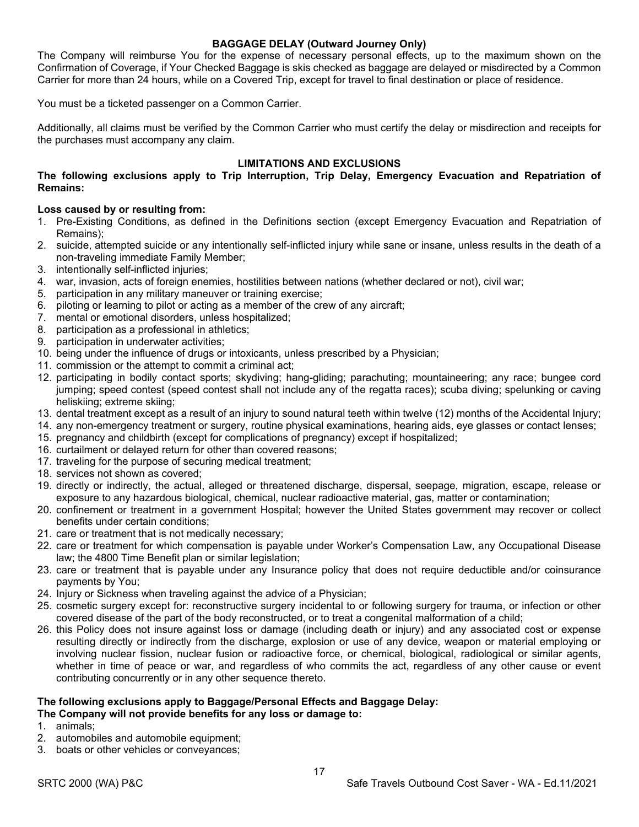#### **BAGGAGE DELAY (Outward Journey Only)**

The Company will reimburse You for the expense of necessary personal effects, up to the maximum shown on the Confirmation of Coverage, if Your Checked Baggage is skis checked as baggage are delayed or misdirected by a Common Carrier for more than 24 hours, while on a Covered Trip, except for travel to final destination or place of residence.

You must be a ticketed passenger on a Common Carrier.

Additionally, all claims must be verified by the Common Carrier who must certify the delay or misdirection and receipts for the purchases must accompany any claim.

#### **LIMITATIONS AND EXCLUSIONS**

#### **The following exclusions apply to Trip Interruption, Trip Delay, Emergency Evacuation and Repatriation of Remains:**

#### **Loss caused by or resulting from:**

- 1. Pre-Existing Conditions, as defined in the Definitions section (except Emergency Evacuation and Repatriation of Remains);
- 2. suicide, attempted suicide or any intentionally self-inflicted injury while sane or insane, unless results in the death of a non-traveling immediate Family Member;
- 3. intentionally self-inflicted injuries;
- 4. war, invasion, acts of foreign enemies, hostilities between nations (whether declared or not), civil war;
- 5. participation in any military maneuver or training exercise;
- 6. piloting or learning to pilot or acting as a member of the crew of any aircraft;
- 7. mental or emotional disorders, unless hospitalized;
- 8. participation as a professional in athletics;
- 9. participation in underwater activities;
- 10. being under the influence of drugs or intoxicants, unless prescribed by a Physician;
- 11. commission or the attempt to commit a criminal act;
- 12. participating in bodily contact sports; skydiving; hang-gliding; parachuting; mountaineering; any race; bungee cord jumping; speed contest (speed contest shall not include any of the regatta races); scuba diving; spelunking or caving heliskiing; extreme skiing;
- 13. dental treatment except as a result of an injury to sound natural teeth within twelve (12) months of the Accidental Injury;
- 14. any non-emergency treatment or surgery, routine physical examinations, hearing aids, eye glasses or contact lenses;
- 15. pregnancy and childbirth (except for complications of pregnancy) except if hospitalized;
- 16. curtailment or delayed return for other than covered reasons;
- 17. traveling for the purpose of securing medical treatment;
- 18. services not shown as covered;
- 19. directly or indirectly, the actual, alleged or threatened discharge, dispersal, seepage, migration, escape, release or exposure to any hazardous biological, chemical, nuclear radioactive material, gas, matter or contamination;
- 20. confinement or treatment in a government Hospital; however the United States government may recover or collect benefits under certain conditions;
- 21. care or treatment that is not medically necessary;
- 22. care or treatment for which compensation is payable under Worker's Compensation Law, any Occupational Disease law; the 4800 Time Benefit plan or similar legislation;
- 23. care or treatment that is payable under any Insurance policy that does not require deductible and/or coinsurance payments by You;
- 24. Injury or Sickness when traveling against the advice of a Physician;
- 25. cosmetic surgery except for: reconstructive surgery incidental to or following surgery for trauma, or infection or other covered disease of the part of the body reconstructed, or to treat a congenital malformation of a child;
- 26. this Policy does not insure against loss or damage (including death or injury) and any associated cost or expense resulting directly or indirectly from the discharge, explosion or use of any device, weapon or material employing or involving nuclear fission, nuclear fusion or radioactive force, or chemical, biological, radiological or similar agents, whether in time of peace or war, and regardless of who commits the act, regardless of any other cause or event contributing concurrently or in any other sequence thereto.

#### **The following exclusions apply to Baggage/Personal Effects and Baggage Delay: The Company will not provide benefits for any loss or damage to:**

- 1. animals;
- 2. automobiles and automobile equipment;
- 3. boats or other vehicles or conveyances;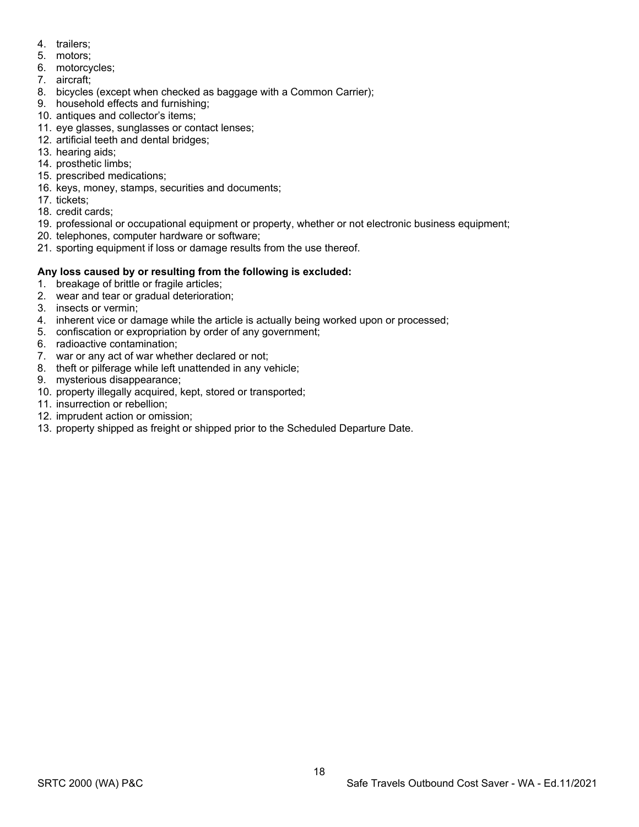- 4. trailers;
- 5. motors;
- 6. motorcycles;
- 7. aircraft;
- 8. bicycles (except when checked as baggage with a Common Carrier);
- 9. household effects and furnishing;
- 10. antiques and collector's items;
- 11. eye glasses, sunglasses or contact lenses;
- 12. artificial teeth and dental bridges;
- 13. hearing aids;
- 14. prosthetic limbs;
- 15. prescribed medications;
- 16. keys, money, stamps, securities and documents;
- 17. tickets;
- 18. credit cards;
- 19. professional or occupational equipment or property, whether or not electronic business equipment;
- 20. telephones, computer hardware or software;
- 21. sporting equipment if loss or damage results from the use thereof.

# **Any loss caused by or resulting from the following is excluded:**

- 1. breakage of brittle or fragile articles;
- 2. wear and tear or gradual deterioration;
- 3. insects or vermin;
- 4. inherent vice or damage while the article is actually being worked upon or processed;
- 5. confiscation or expropriation by order of any government;
- 6. radioactive contamination;
- 7. war or any act of war whether declared or not;
- 8. theft or pilferage while left unattended in any vehicle;
- 9. mysterious disappearance;
- 10. property illegally acquired, kept, stored or transported;
- 11. insurrection or rebellion;
- 12. imprudent action or omission;
- 13. property shipped as freight or shipped prior to the Scheduled Departure Date.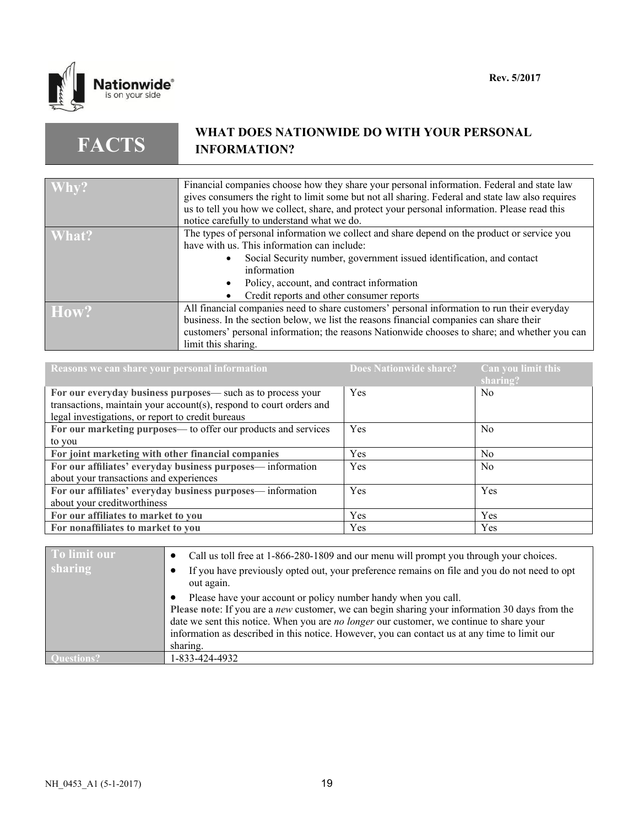

**FACTS**

# **WHAT DOES NATIONWIDE DO WITH YOUR PERSONAL INFORMATION?**

| $\sqrt{Why?}$ | Financial companies choose how they share your personal information. Federal and state law       |
|---------------|--------------------------------------------------------------------------------------------------|
|               | gives consumers the right to limit some but not all sharing. Federal and state law also requires |
|               |                                                                                                  |
|               | us to tell you how we collect, share, and protect your personal information. Please read this    |
|               | notice carefully to understand what we do.                                                       |
| What?         | The types of personal information we collect and share depend on the product or service you      |
|               | have with us. This information can include:                                                      |
|               | Social Security number, government issued identification, and contact                            |
|               | information                                                                                      |
|               |                                                                                                  |
|               | Policy, account, and contract information                                                        |
|               | Credit reports and other consumer reports                                                        |
| How?          | All financial companies need to share customers' personal information to run their everyday      |
|               | business. In the section below, we list the reasons financial companies can share their          |
|               |                                                                                                  |
|               | customers' personal information; the reasons Nationwide chooses to share; and whether you can    |
|               | limit this sharing.                                                                              |

| Reasons we can share your personal information                      | <b>Does Nationwide share?</b> | Can you limit this<br>sharing? |
|---------------------------------------------------------------------|-------------------------------|--------------------------------|
| For our everyday business purposes— such as to process your         | Yes                           | N <sub>0</sub>                 |
| transactions, maintain your account(s), respond to court orders and |                               |                                |
| legal investigations, or report to credit bureaus                   |                               |                                |
| For our marketing purposes— to offer our products and services      | Yes                           | N <sub>0</sub>                 |
| to you                                                              |                               |                                |
| For joint marketing with other financial companies                  | Yes                           | N <sub>0</sub>                 |
| For our affiliates' everyday business purposes— information         | Yes                           | N <sub>0</sub>                 |
| about your transactions and experiences                             |                               |                                |
| For our affiliates' everyday business purposes—information          | Yes                           | Yes                            |
| about your creditworthiness                                         |                               |                                |
| For our affiliates to market to you                                 | Yes                           | <b>Yes</b>                     |
| For nonaffiliates to market to you                                  | Yes                           | Yes                            |

| To limit our   | Call us toll free at 1-866-280-1809 and our menu will prompt you through your choices.                                                                                                                                                                                                                                                                                           |
|----------------|----------------------------------------------------------------------------------------------------------------------------------------------------------------------------------------------------------------------------------------------------------------------------------------------------------------------------------------------------------------------------------|
| <b>sharing</b> | If you have previously opted out, your preference remains on file and you do not need to opt<br>out again.                                                                                                                                                                                                                                                                       |
|                | Please have your account or policy number handy when you call.<br>Please note: If you are a <i>new</i> customer, we can begin sharing your information 30 days from the<br>date we sent this notice. When you are no longer our customer, we continue to share your<br>information as described in this notice. However, you can contact us at any time to limit our<br>sharing. |
|                | 1-833-424-4932                                                                                                                                                                                                                                                                                                                                                                   |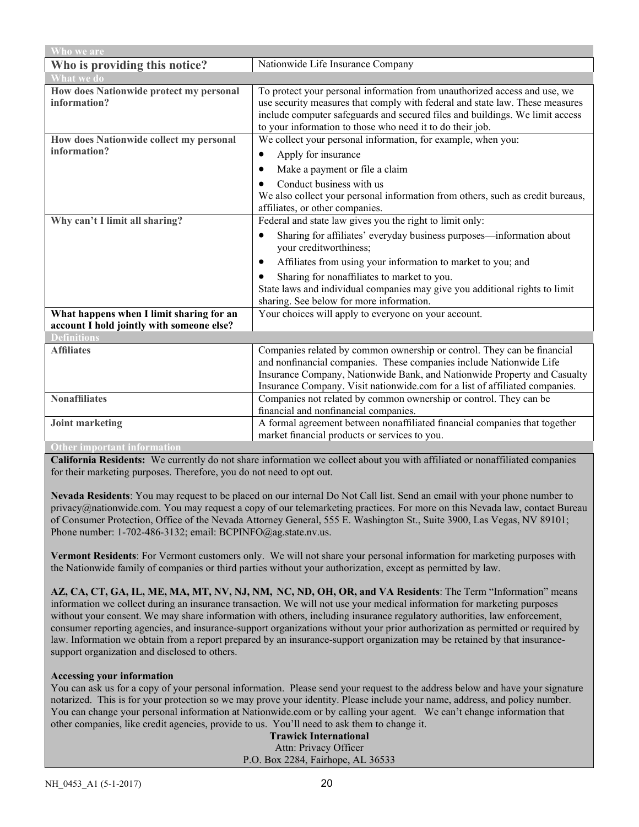| Who we are                                                                            |                                                                                                                                                                                                                                                                                                           |  |
|---------------------------------------------------------------------------------------|-----------------------------------------------------------------------------------------------------------------------------------------------------------------------------------------------------------------------------------------------------------------------------------------------------------|--|
| Who is providing this notice?                                                         | Nationwide Life Insurance Company                                                                                                                                                                                                                                                                         |  |
| <b>What we do</b>                                                                     |                                                                                                                                                                                                                                                                                                           |  |
| How does Nationwide protect my personal<br>information?                               | To protect your personal information from unauthorized access and use, we<br>use security measures that comply with federal and state law. These measures<br>include computer safeguards and secured files and buildings. We limit access<br>to your information to those who need it to do their job.    |  |
| How does Nationwide collect my personal                                               | We collect your personal information, for example, when you:                                                                                                                                                                                                                                              |  |
| information?                                                                          | Apply for insurance<br>٠                                                                                                                                                                                                                                                                                  |  |
|                                                                                       | Make a payment or file a claim<br>$\bullet$                                                                                                                                                                                                                                                               |  |
|                                                                                       | Conduct business with us<br>We also collect your personal information from others, such as credit bureaus,<br>affiliates, or other companies.                                                                                                                                                             |  |
| Why can't I limit all sharing?                                                        | Federal and state law gives you the right to limit only:                                                                                                                                                                                                                                                  |  |
|                                                                                       | Sharing for affiliates' everyday business purposes—information about<br>$\bullet$<br>your creditworthiness;                                                                                                                                                                                               |  |
|                                                                                       | Affiliates from using your information to market to you; and<br>$\bullet$                                                                                                                                                                                                                                 |  |
|                                                                                       | Sharing for nonaffiliates to market to you.<br>$\bullet$                                                                                                                                                                                                                                                  |  |
|                                                                                       | State laws and individual companies may give you additional rights to limit                                                                                                                                                                                                                               |  |
|                                                                                       | sharing. See below for more information.                                                                                                                                                                                                                                                                  |  |
| What happens when I limit sharing for an<br>account I hold jointly with someone else? | Your choices will apply to everyone on your account.                                                                                                                                                                                                                                                      |  |
| <b>Definitions</b>                                                                    |                                                                                                                                                                                                                                                                                                           |  |
| <b>Affiliates</b>                                                                     | Companies related by common ownership or control. They can be financial<br>and nonfinancial companies. These companies include Nationwide Life<br>Insurance Company, Nationwide Bank, and Nationwide Property and Casualty<br>Insurance Company. Visit nationwide.com for a list of affiliated companies. |  |
| <b>Nonaffiliates</b>                                                                  | Companies not related by common ownership or control. They can be<br>financial and nonfinancial companies.                                                                                                                                                                                                |  |
| <b>Joint marketing</b>                                                                | A formal agreement between nonaffiliated financial companies that together<br>market financial products or services to you.                                                                                                                                                                               |  |
| <b>Other important information</b>                                                    |                                                                                                                                                                                                                                                                                                           |  |

**California Residents:** We currently do not share information we collect about you with affiliated or nonaffiliated companies for their marketing purposes. Therefore, you do not need to opt out.

**Nevada Residents**: You may request to be placed on our internal Do Not Call list. Send an email with your phone number to privacy@nationwide.com. You may request a copy of our telemarketing practices. For more on this Nevada law, contact Bureau of Consumer Protection, Office of the Nevada Attorney General, 555 E. Washington St., Suite 3900, Las Vegas, NV 89101; Phone number: 1-702-486-3132; email: BCPINFO@ag.state.nv.us.

**Vermont Residents**: For Vermont customers only. We will not share your personal information for marketing purposes with the Nationwide family of companies or third parties without your authorization, except as permitted by law.

**AZ, CA, CT, GA, IL, ME, MA, MT, NV, NJ, NM, NC, ND, OH, OR, and VA Residents**: The Term "Information" means information we collect during an insurance transaction. We will not use your medical information for marketing purposes without your consent. We may share information with others, including insurance regulatory authorities, law enforcement, consumer reporting agencies, and insurance-support organizations without your prior authorization as permitted or required by law. Information we obtain from a report prepared by an insurance-support organization may be retained by that insurancesupport organization and disclosed to others.

#### **Accessing your information**

You can ask us for a copy of your personal information. Please send your request to the address below and have your signature notarized. This is for your protection so we may prove your identity. Please include your name, address, and policy number. You can change your personal information at Nationwide.com or by calling your agent. We can't change information that other companies, like credit agencies, provide to us. You'll need to ask them to change it.

**Trawick International** Attn: Privacy Officer P.O. Box 2284, Fairhope, AL 36533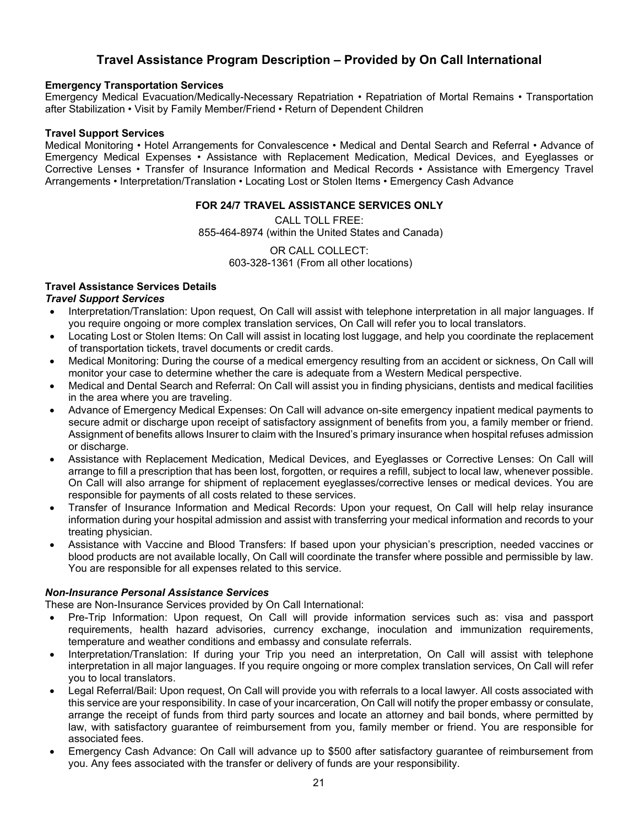# **Travel Assistance Program Description – Provided by On Call International**

#### **Emergency Transportation Services**

Emergency Medical Evacuation/Medically-Necessary Repatriation • Repatriation of Mortal Remains • Transportation after Stabilization • Visit by Family Member/Friend • Return of Dependent Children

#### **Travel Support Services**

Medical Monitoring • Hotel Arrangements for Convalescence • Medical and Dental Search and Referral • Advance of Emergency Medical Expenses • Assistance with Replacement Medication, Medical Devices, and Eyeglasses or Corrective Lenses • Transfer of Insurance Information and Medical Records • Assistance with Emergency Travel Arrangements • Interpretation/Translation • Locating Lost or Stolen Items • Emergency Cash Advance

#### **FOR 24/7 TRAVEL ASSISTANCE SERVICES ONLY**

CALL TOLL FREE: 855-464-8974 (within the United States and Canada)

> OR CALL COLLECT: 603-328-1361 (From all other locations)

#### **Travel Assistance Services Details**

#### *Travel Support Services*

- Interpretation/Translation: Upon request, On Call will assist with telephone interpretation in all major languages. If you require ongoing or more complex translation services, On Call will refer you to local translators.
- Locating Lost or Stolen Items: On Call will assist in locating lost luggage, and help you coordinate the replacement of transportation tickets, travel documents or credit cards.
- Medical Monitoring: During the course of a medical emergency resulting from an accident or sickness, On Call will monitor your case to determine whether the care is adequate from a Western Medical perspective.
- Medical and Dental Search and Referral: On Call will assist you in finding physicians, dentists and medical facilities in the area where you are traveling.
- Advance of Emergency Medical Expenses: On Call will advance on-site emergency inpatient medical payments to secure admit or discharge upon receipt of satisfactory assignment of benefits from you, a family member or friend. Assignment of benefits allows Insurer to claim with the Insured's primary insurance when hospital refuses admission or discharge.
- Assistance with Replacement Medication, Medical Devices, and Eyeglasses or Corrective Lenses: On Call will arrange to fill a prescription that has been lost, forgotten, or requires a refill, subject to local law, whenever possible. On Call will also arrange for shipment of replacement eyeglasses/corrective lenses or medical devices. You are responsible for payments of all costs related to these services.
- Transfer of Insurance Information and Medical Records: Upon your request, On Call will help relay insurance information during your hospital admission and assist with transferring your medical information and records to your treating physician.
- Assistance with Vaccine and Blood Transfers: If based upon your physician's prescription, needed vaccines or blood products are not available locally, On Call will coordinate the transfer where possible and permissible by law. You are responsible for all expenses related to this service.

#### *Non-Insurance Personal Assistance Services*

These are Non-Insurance Services provided by On Call International:

- Pre-Trip Information: Upon request, On Call will provide information services such as: visa and passport requirements, health hazard advisories, currency exchange, inoculation and immunization requirements, temperature and weather conditions and embassy and consulate referrals.
- Interpretation/Translation: If during your Trip you need an interpretation, On Call will assist with telephone interpretation in all major languages. If you require ongoing or more complex translation services, On Call will refer you to local translators.
- Legal Referral/Bail: Upon request, On Call will provide you with referrals to a local lawyer. All costs associated with this service are your responsibility. In case of your incarceration, On Call will notify the proper embassy or consulate, arrange the receipt of funds from third party sources and locate an attorney and bail bonds, where permitted by law, with satisfactory guarantee of reimbursement from you, family member or friend. You are responsible for associated fees.
- Emergency Cash Advance: On Call will advance up to \$500 after satisfactory guarantee of reimbursement from you. Any fees associated with the transfer or delivery of funds are your responsibility.